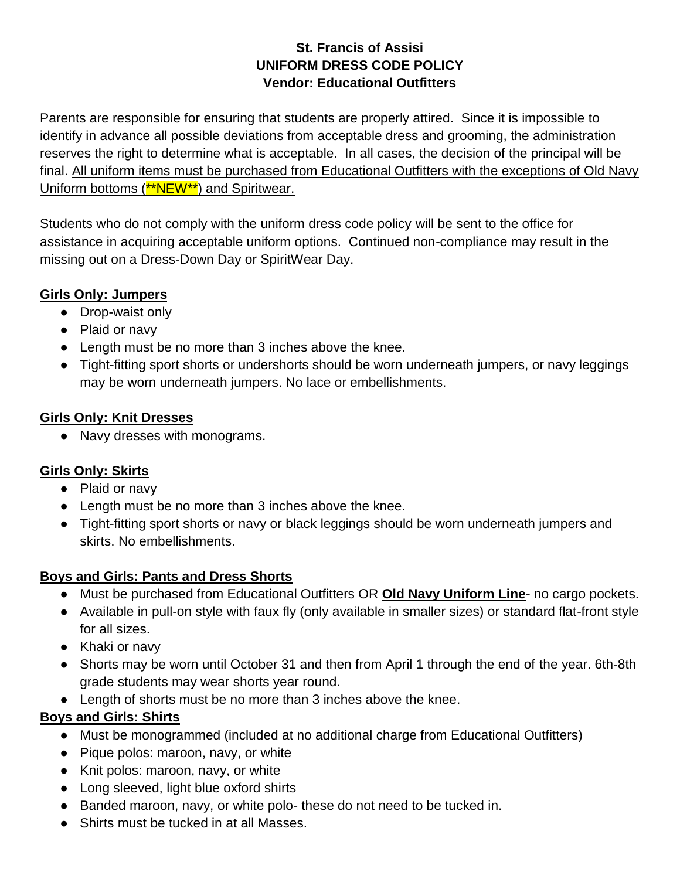### **St. Francis of Assisi UNIFORM DRESS CODE POLICY Vendor: Educational Outfitters**

Parents are responsible for ensuring that students are properly attired. Since it is impossible to identify in advance all possible deviations from acceptable dress and grooming, the administration reserves the right to determine what is acceptable. In all cases, the decision of the principal will be final. All uniform items must be purchased from Educational Outfitters with the exceptions of Old Navy Uniform bottoms (\*\*NEW\*\*) and Spiritwear.

Students who do not comply with the uniform dress code policy will be sent to the office for assistance in acquiring acceptable uniform options. Continued non-compliance may result in the missing out on a Dress-Down Day or SpiritWear Day.

### **Girls Only: Jumpers**

- Drop-waist only
- Plaid or navy
- Length must be no more than 3 inches above the knee.
- Tight-fitting sport shorts or undershorts should be worn underneath jumpers, or navy leggings may be worn underneath jumpers. No lace or embellishments.

### **Girls Only: Knit Dresses**

● Navy dresses with monograms.

### **Girls Only: Skirts**

- Plaid or navy
- Length must be no more than 3 inches above the knee.
- Tight-fitting sport shorts or navy or black leggings should be worn underneath jumpers and skirts. No embellishments.

### **Boys and Girls: Pants and Dress Shorts**

- Must be purchased from Educational Outfitters OR **Old Navy Uniform Line** no cargo pockets.
- Available in pull-on style with faux fly (only available in smaller sizes) or standard flat-front style for all sizes.
- Khaki or navy
- Shorts may be worn until October 31 and then from April 1 through the end of the year. 6th-8th grade students may wear shorts year round.
- Length of shorts must be no more than 3 inches above the knee.

# **Boys and Girls: Shirts**

- Must be monogrammed (included at no additional charge from Educational Outfitters)
- Pique polos: maroon, navy, or white
- Knit polos: maroon, navy, or white
- Long sleeved, light blue oxford shirts
- Banded maroon, navy, or white polo- these do not need to be tucked in.
- Shirts must be tucked in at all Masses.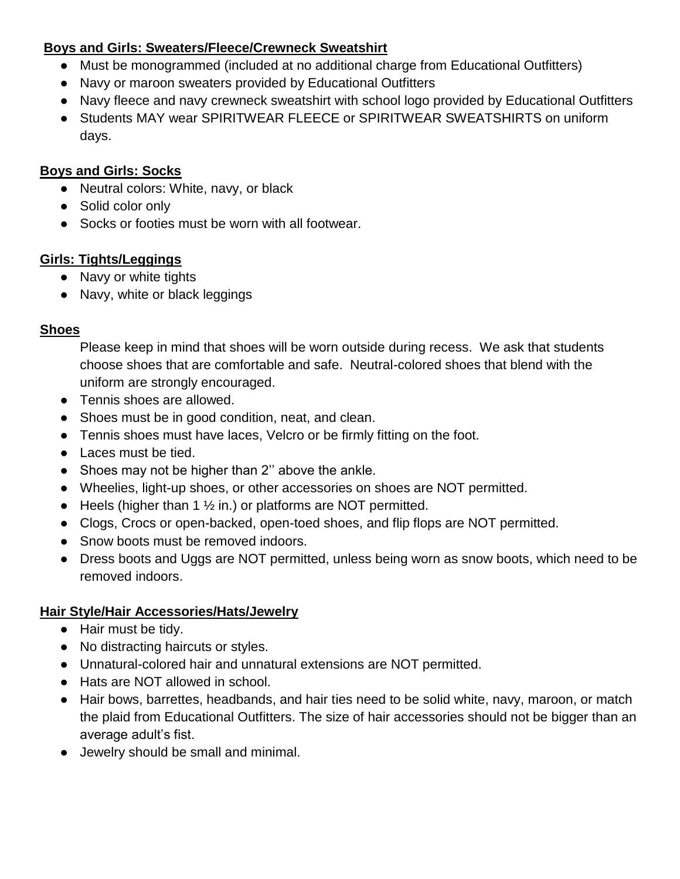### **Boys and Girls: Sweaters/Fleece/Crewneck Sweatshirt**

- Must be monogrammed (included at no additional charge from Educational Outfitters)
- Navy or maroon sweaters provided by Educational Outfitters
- Navy fleece and navy crewneck sweatshirt with school logo provided by Educational Outfitters
- Students MAY wear SPIRITWEAR FLEECE or SPIRITWEAR SWEATSHIRTS on uniform days.

#### **Boys and Girls: Socks**

- Neutral colors: White, navy, or black
- Solid color only
- Socks or footies must be worn with all footwear.

### **Girls: Tights/Leggings**

- Navy or white tights
- Navy, white or black leggings

#### **Shoes**

Please keep in mind that shoes will be worn outside during recess. We ask that students choose shoes that are comfortable and safe. Neutral-colored shoes that blend with the uniform are strongly encouraged.

- Tennis shoes are allowed.
- Shoes must be in good condition, neat, and clean.
- Tennis shoes must have laces, Velcro or be firmly fitting on the foot.
- Laces must be tied.
- Shoes may not be higher than 2" above the ankle.
- Wheelies, light-up shoes, or other accessories on shoes are NOT permitted.
- Heels (higher than 1  $\frac{1}{2}$  in.) or platforms are NOT permitted.
- Clogs, Crocs or open-backed, open-toed shoes, and flip flops are NOT permitted.
- Snow boots must be removed indoors.
- Dress boots and Uggs are NOT permitted, unless being worn as snow boots, which need to be removed indoors.

### **Hair Style/Hair Accessories/Hats/Jewelry**

- Hair must be tidy.
- No distracting haircuts or styles.
- Unnatural-colored hair and unnatural extensions are NOT permitted.
- Hats are NOT allowed in school.
- Hair bows, barrettes, headbands, and hair ties need to be solid white, navy, maroon, or match the plaid from Educational Outfitters. The size of hair accessories should not be bigger than an average adult's fist.
- Jewelry should be small and minimal.